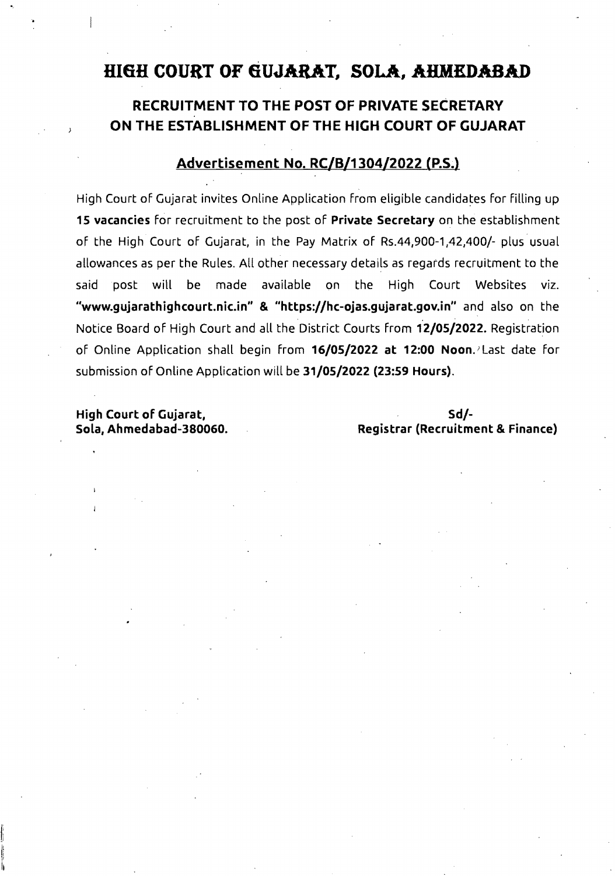# **HIGH COURT OF 6UJARAT, SOLA, AHMEDABAD**

## **RECRUITMENT TO THE POST OF PRIVATE SECRETARY ON THE ESTABLISHMENT OF THE HIGH COURT OF GUJARAT**

## **Advertisement No. RC/B/1304/2022** (P.S~)

High Court of Gujarat invites Online Application from eligible candidates for filling up **15 vacancies** for recruitment to the post of **Private Secretary** on the establishment of the High Court of Gujarat, in the Pay Matrix of Rs.44,900-1,42,400/- plus usual allowances as per the Rules. All other necessary details as regards recruitment to the said post will be made available on the High Court Websites viz. **..www.gujarathighcourt.nic.in.. & "https://hc-ojas.gujarat.gov.in"** and also on the Notice Board of High Court and all the District Courts from **12/05/2022.** Registration of Online Application shall begin from **16/05/2022 at 12:00 Noon.)** Last date for submission of Online Application will be **31/05/2022 (23:59 Hours).** 

**High Court of Gujarat, Sd/-**

ji

Ii Ii Sola, Ahmedabad-380060. Registrar (Recruitment & Finance)